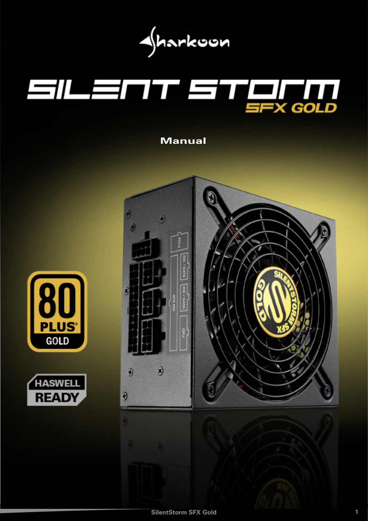

# Anleitung Anleitung der Anleitung der Anleitung der Anleitung der Anleitung der Anleitung der Anleitung der Anl<br>Anleitung der Anleitung der Anleitung der Anleitung der Anleitung der Anleitung der Anleitung der Anleitung de

**Manual**





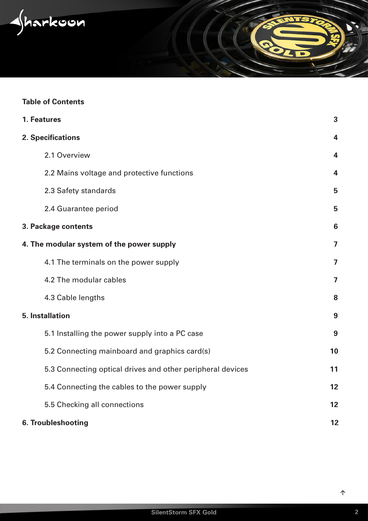<span id="page-1-0"></span> $\sqrt{h}$ arkoon

# **Table of Contents**

|                     | 1. Features                                                | 3                       |  |  |
|---------------------|------------------------------------------------------------|-------------------------|--|--|
|                     | 2. Specifications                                          | 4                       |  |  |
|                     | 2.1 Overview                                               | 4                       |  |  |
|                     | 2.2 Mains voltage and protective functions                 | $\overline{\mathbf{4}}$ |  |  |
|                     | 2.3 Safety standards                                       | 5                       |  |  |
|                     | 2.4 Guarantee period                                       | 5                       |  |  |
| 3. Package contents |                                                            |                         |  |  |
|                     | 4. The modular system of the power supply                  | 7                       |  |  |
|                     | 4.1 The terminals on the power supply                      | 7                       |  |  |
|                     | 4.2 The modular cables                                     | $\overline{7}$          |  |  |
|                     | 4.3 Cable lengths                                          | 8                       |  |  |
|                     | <b>5. Installation</b>                                     | 9                       |  |  |
|                     | 5.1 Installing the power supply into a PC case             | 9                       |  |  |
|                     | 5.2 Connecting mainboard and graphics card(s)              | 10                      |  |  |
|                     | 5.3 Connecting optical drives and other peripheral devices | 11                      |  |  |
|                     | 5.4 Connecting the cables to the power supply              | 12                      |  |  |
|                     | 5.5 Checking all connections                               | 12                      |  |  |
|                     | 6. Troubleshooting                                         | 12                      |  |  |

 $\overline{\phantom{a}}$ z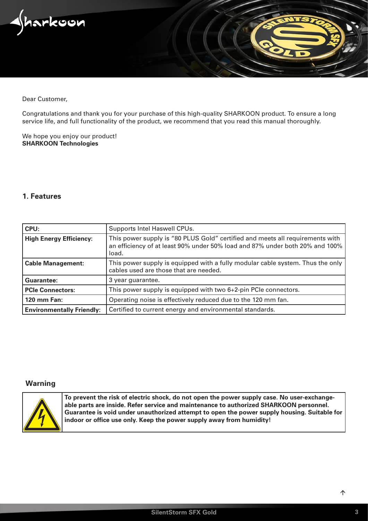<span id="page-2-0"></span>

Dear Customer,

Congratulations and thank you for your purchase of this high-quality SHARKOON product. To ensure a long service life, and full functionality of the product, we recommend that you read this manual thoroughly.

We hope you enjoy our product! **SHARKOON Technologies**

# **1. Features**

| CPU:                             | Supports Intel Haswell CPUs.                                                                                                                                           |  |  |
|----------------------------------|------------------------------------------------------------------------------------------------------------------------------------------------------------------------|--|--|
| <b>High Energy Efficiency:</b>   | This power supply is "80 PLUS Gold" certified and meets all requirements with<br>an efficiency of at least 90% under 50% load and 87% under both 20% and 100%<br>load. |  |  |
| <b>Cable Management:</b>         | This power supply is equipped with a fully modular cable system. Thus the only<br>cables used are those that are needed.                                               |  |  |
| Guarantee:                       | 3 year guarantee.                                                                                                                                                      |  |  |
| <b>PCIe Connectors:</b>          | This power supply is equipped with two 6+2-pin PCIe connectors.                                                                                                        |  |  |
| <b>120 mm Fan:</b>               | Operating noise is effectively reduced due to the 120 mm fan.                                                                                                          |  |  |
| <b>Environmentally Friendly:</b> | Certified to current energy and environmental standards.                                                                                                               |  |  |

# **Warning**



**To prevent the risk of electric shock, do not open the power supply case. No user-exchangeable parts are inside. Refer service and maintenance to authorized SHARKOON personnel. Guarantee is void under unauthorized attempt to open the power supply housing. Suitable for indoor or office use only. Keep the power supply away from humidity!**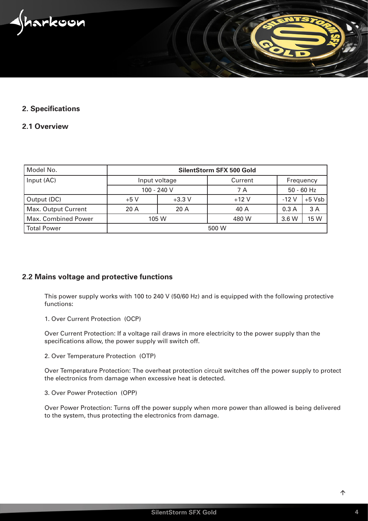<span id="page-3-0"></span>narkoon

## **2. Specifications**

# **2.1 Overview**

| Model No.           | <b>SilentStorm SFX 500 Gold</b> |          |         |              |          |  |  |
|---------------------|---------------------------------|----------|---------|--------------|----------|--|--|
| Input (AC)          | Input voltage                   |          | Current | Frequency    |          |  |  |
|                     | $100 - 240$ V                   |          | 7 A     | $50 - 60$ Hz |          |  |  |
| Output (DC)         | $+5V$                           | $+3.3$ V | $+12V$  | $-12V$       | $+5$ Vsb |  |  |
| Max. Output Current | 20A                             | 20A      | 40 A    | 0.3A         | 3A       |  |  |
| Max. Combined Power | 105 W                           |          | 480 W   | 3.6 W        | 15 W     |  |  |
| <b>Total Power</b>  | 500 W                           |          |         |              |          |  |  |

# **2.2 Mains voltage and protective functions**

This power supply works with 100 to 240 V (50/60 Hz) and is equipped with the following protective functions:

1. Over Current Protection (OCP)

Over Current Protection: If a voltage rail draws in more electricity to the power supply than the specifications allow, the power supply will switch off.

2. Over Temperature Protection (OTP)

Over Temperature Protection: The overheat protection circuit switches off the power supply to protect the electronics from damage when excessive heat is detected.

3. Over Power Protection (OPP)

Over Power Protection: Turns off the power supply when more power than allowed is being delivered to the system, thus protecting the electronics from damage.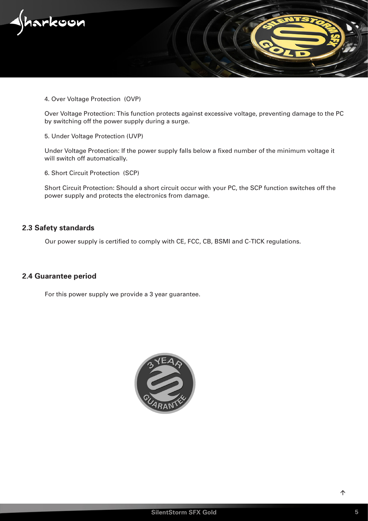<span id="page-4-0"></span>

4. Over Voltage Protection (OVP)

Over Voltage Protection: This function protects against excessive voltage, preventing damage to the PC by switching off the power supply during a surge.

5. Under Voltage Protection (UVP)

Under Voltage Protection: If the power supply falls below a fixed number of the minimum voltage it will switch off automatically.

6. Short Circuit Protection (SCP)

Short Circuit Protection: Should a short circuit occur with your PC, the SCP function switches off the power supply and protects the electronics from damage.

# **2.3 Safety standards**

Our power supply is certified to comply with CE, FCC, CB, BSMI and C-TICK regulations.

### **2.4 Guarantee period**

For this power supply we provide a 3 year guarantee.

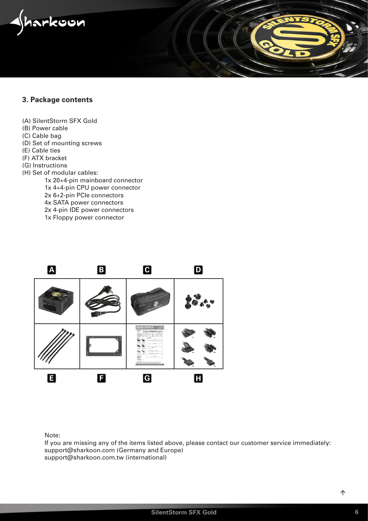<span id="page-5-0"></span>

# **3. Package contents**

- (A) SilentStorm SFX Gold
- (B) Power cable
- (C) Cable bag
- (D) Set of mounting screws
- (E) Cable ties
- (F) ATX bracket
- (G) Instructions
- (H) Set of modular cables:
	- 1x 20+4-pin mainboard connector 1x 4+4-pin CPU power connector 2x 6+2-pin PCIe connectors 4x SATA power connectors 2x 4-pin IDE power connectors 1x Floppy power connector



Note:

If you are missing any of the items listed above, please contact our customer service immediately: support@sharkoon.com (Germany and Europe) support@sharkoon.com.tw (international)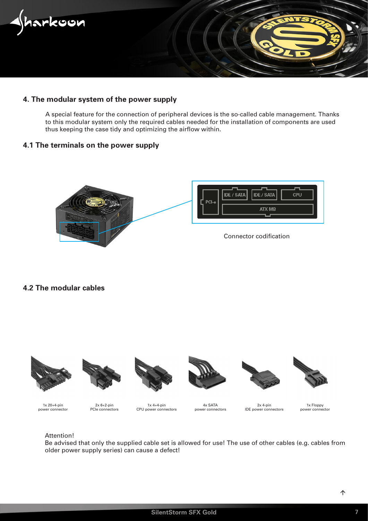<span id="page-6-0"></span>

# **4. The modular system of the power supply**

A special feature for the connection of peripheral devices is the so-called cable management. Thanks to this modular system only the required cables needed for the installation of components are used thus keeping the case tidy and optimizing the airflow within.

# **4.1 The terminals on the power supply**



# **4.2 The modular cables**













1x 20+4-pin power connector

2x 6+2-pin PCIe connectors

1x 4+4-pin CPU power connectors

4x SATA power connectors

 $2x$  4-pin IDE power connectors

1x Floppy power connector

### Attention!

Be advised that only the supplied cable set is allowed for use! The use of other cables (e.g. cables from older power supply series) can cause a defect!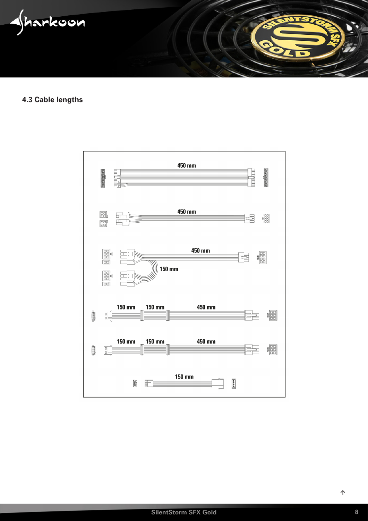<span id="page-7-0"></span>

**4.3 Cable lengths**

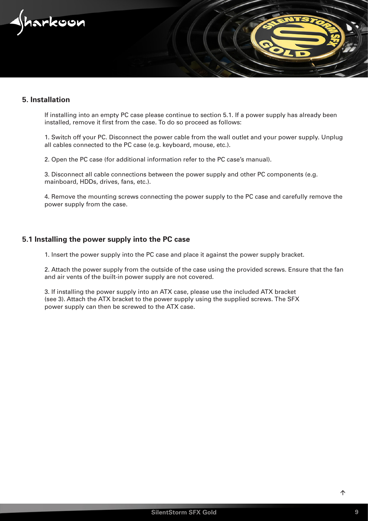<span id="page-8-0"></span>

# **5. Installation**

If installing into an empty PC case please continue to section 5.1. If a power supply has already been installed, remove it first from the case. To do so proceed as follows:

1. Switch off your PC. Disconnect the power cable from the wall outlet and your power supply. Unplug all cables connected to the PC case (e.g. keyboard, mouse, etc.).

2. Open the PC case (for additional information refer to the PC case's manual).

3. Disconnect all cable connections between the power supply and other PC components (e.g. mainboard, HDDs, drives, fans, etc.).

4. Remove the mounting screws connecting the power supply to the PC case and carefully remove the power supply from the case.

### **5.1 Installing the power supply into the PC case**

1. Insert the power supply into the PC case and place it against the power supply bracket.

2. Attach the power supply from the outside of the case using the provided screws. Ensure that the fan and air vents of the built-in power supply are not covered.

3. If installing the power supply into an ATX case, please use the included ATX bracket (see 3). Attach the ATX bracket to the power supply using the supplied screws. The SFX power supply can then be screwed to the ATX case.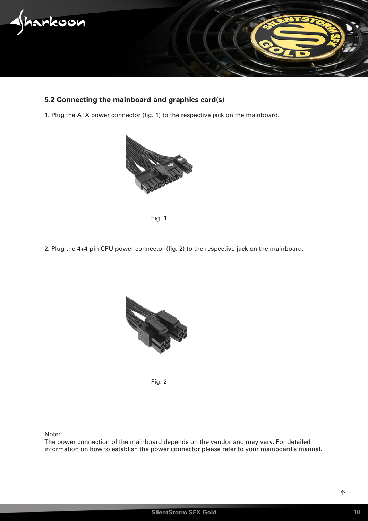<span id="page-9-0"></span>

# **5.2 Connecting the mainboard and graphics card(s)**

1. Plug the ATX power connector (fig. 1) to the respective jack on the mainboard.





2. Plug the 4+4-pin CPU power connector (fig. 2) to the respective jack on the mainboard.



Fig. 2

Note:

The power connection of the mainboard depends on the vendor and may vary. For detailed information on how to establish the power connector please refer to your mainboard's manual.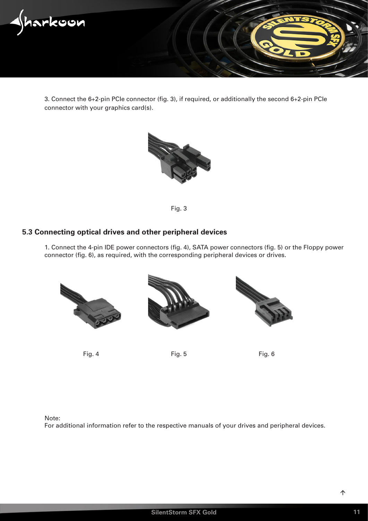<span id="page-10-0"></span>

3. Connect the 6+2-pin PCIe connector (fig. 3), if required, or additionally the second 6+2-pin PCIe connector with your graphics card(s).



Fig. 3

# **5.3 Connecting optical drives and other peripheral devices**

1. Connect the 4-pin IDE power connectors (fig. 4), SATA power connectors (fig. 5) or the Floppy power connector (fig. 6), as required, with the corresponding peripheral devices or drives.



Fig. 4 Fig. 5 Fig. 6

Note:

For additional information refer to the respective manuals of your drives and peripheral devices.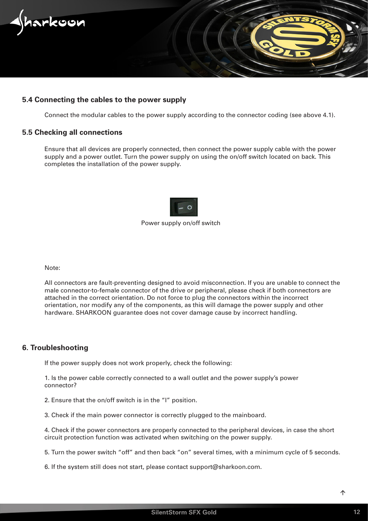<span id="page-11-0"></span>

# **5.4 Connecting the cables to the power supply**

Connect the modular cables to the power supply according to the connector coding (see above 4.1).

### **5.5 Checking all connections**

Ensure that all devices are properly connected, then connect the power supply cable with the power supply and a power outlet. Turn the power supply on using the on/off switch located on back. This completes the installation of the power supply.



### Power supply on/off switch

Note:

All connectors are fault-preventing designed to avoid misconnection. If you are unable to connect the male connector-to-female connector of the drive or peripheral, please check if both connectors are attached in the correct orientation. Do not force to plug the connectors within the incorrect orientation, nor modify any of the components, as this will damage the power supply and other hardware. SHARKOON guarantee does not cover damage cause by incorrect handling.

### **6. Troubleshooting**

If the power supply does not work properly, check the following:

1. Is the power cable correctly connected to a wall outlet and the power supply's power connector?

2. Ensure that the on/off switch is in the "I" position.

3. Check if the main power connector is correctly plugged to the mainboard.

4. Check if the power connectors are properly connected to the peripheral devices, in case the short circuit protection function was activated when switching on the power supply.

5. Turn the power switch "off" and then back "on" several times, with a minimum cycle of 5 seconds.

6. If the system still does not start, please contact support@sharkoon.com.